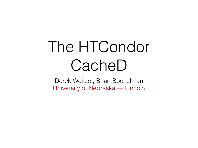### The HTCondor CacheD

Derek Weitzel, Brian Bockelman University of Nebraska — Lincoln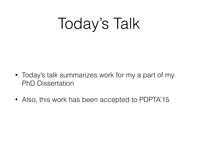Today's Talk

- Today's talk summarizes work for my a part of my PhD Dissertation
- Also, this work has been accepted to PDPTA'15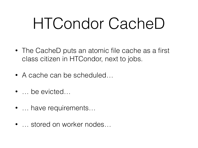### HTCondor CacheD

- The CacheD puts an atomic file cache as a first class citizen in HTCondor, next to jobs.
- A cache can be scheduled...
- … be evicted…
- … have requirements…
- … stored on worker nodes…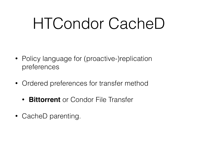### HTCondor CacheD

- Policy language for (proactive-)replication preferences
- Ordered preferences for transfer method
	- **Bittorrent** or Condor File Transfer
- CacheD parenting.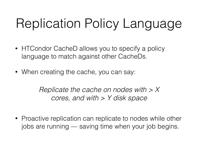#### Replication Policy Language

- HTCondor CacheD allows you to specify a policy language to match against other CacheDs.
- When creating the cache, you can say:

*Replicate the cache on nodes with > X cores, and with > Y disk space*

• Proactive replication can replicate to nodes while other jobs are running — saving time when your job begins.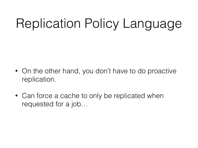#### Replication Policy Language

- On the other hand, you don't have to do proactive replication.
- Can force a cache to only be replicated when requested for a job…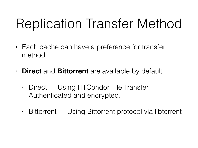#### Replication Transfer Method

- Each cache can have a preference for transfer method.
- **• Direct** and **Bittorrent** are available by default.
	- **•** Direct Using HTCondor File Transfer. Authenticated and encrypted.
	- **•** Bittorrent Using Bittorrent protocol via libtorrent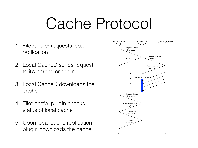### Cache Protocol

- 1. Filetransfer requests local replication
- 2. Local CacheD sends request to it's parent, or origin
- 3. Local CacheD downloads the cache.
- 4. Filetransfer plugin checks status of local cache
- 5. Upon local cache replication, plugin downloads the cache

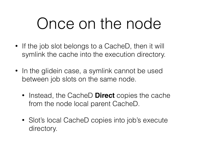### Once on the node

- If the job slot belongs to a CacheD, then it will symlink the cache into the execution directory.
- In the glidein case, a symlink cannot be used between job slots on the same node.
	- Instead, the CacheD **Direct** copies the cache from the node local parent CacheD.
	- Slot's local CacheD copies into job's execute directory.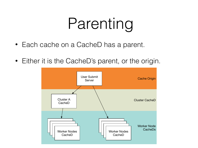## Parenting

- Each cache on a CacheD has a parent.
- Either it is the CacheD's parent, or the origin.

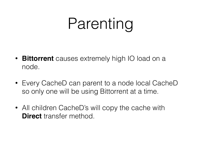## Parenting

- **Bittorrent** causes extremely high IO load on a node.
- Every CacheD can parent to a node local CacheD so only one will be using Bittorrent at a time.
- All children CacheD's will copy the cache with **Direct** transfer method.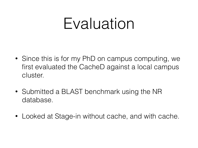#### Evaluation

- Since this is for my PhD on campus computing, we first evaluated the CacheD against a local campus cluster.
- Submitted a BLAST benchmark using the NR database.
- Looked at Stage-in without cache, and with cache.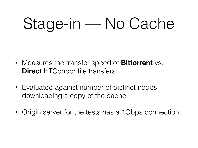- Measures the transfer speed of **Bittorrent** vs. **Direct** HTCondor file transfers.
- Evaluated against number of distinct nodes downloading a copy of the cache.
- Origin server for the tests has a 1Gbps connection.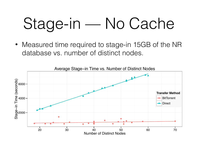• Measured time required to stage-in 15GB of the NR database vs. number of distinct nodes.

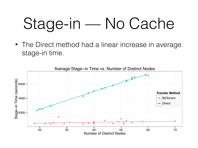• The Direct method had a linear increase in average stage-in time.

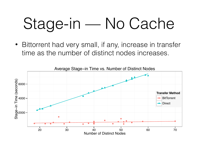• Bittorrent had very small, if any, increase in transfer time as the number of distinct nodes increases.

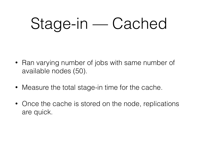- Ran varying number of jobs with same number of available nodes (50).
- Measure the total stage-in time for the cache.
- Once the cache is stored on the node, replications are quick.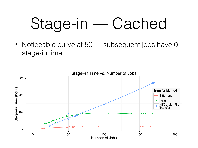• Noticeable curve at 50 — subsequent jobs have 0 stage-in time.

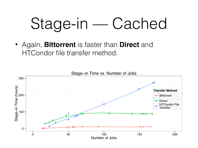• Again, **Bittorrent** is faster than **Direct** and HTCondor file transfer method.

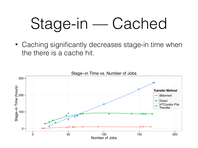• Caching significantly decreases stage-in time when the there is a cache hit.

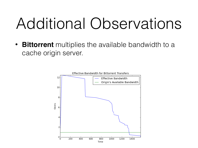### Additional Observations

• **Bittorrent** multiplies the available bandwidth to a cache origin server.

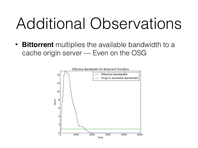### Additional Observations

• **Bittorrent** multiplies the available bandwidth to a cache origin server — Even on the OSG